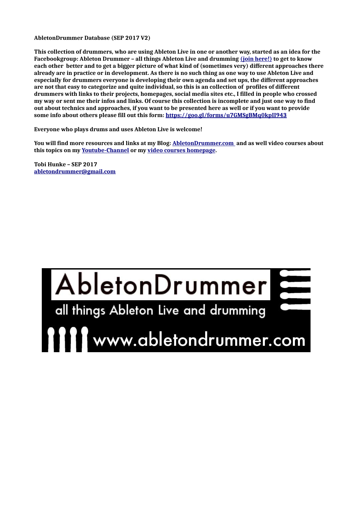**AbletonDrummer Database (SEP 2017 V2)**

**This collection of drummers, who are using Ableton Live in one or another way, started as an idea for the Facebookgroup: Ableton Drummer – all things Ableton Live and drumming [\(join here!\)](https://www.facebook.com/groups/1405715946387421/) to get to know each other better and to get a bigger picture of what kind of (sometimes very) different approaches there already are in practice or in development. As there is no such thing as one way to use Ableton Live and especially for drummers everyone is developing their own agenda and set ups, the different approaches are not that easy to categorize and quite individual, so this is an collection of profiles of different drummers with links to their projects, homepages, social media sites etc., I filled in people who crossed my way or sent me their infos and links. Of course this collection is incomplete and just one way to find out about technics and approaches, if you want to be presented here as well or if you want to provide some info about others please fill out this form:<https://goo.gl/forms/u7GMSgBMq0kpII943>**

**Everyone who plays drums and uses Ableton Live is welcome!**

**You will find more resources and links at my Blog: [AbletonDrummer.com](http://www.abletondrummer.com/) and as well video courses about this topics on my [Youtube-Channel](https://www.youtube.com/channel/UCt8X4e7WvfaQUhQ1mTRjcRA) or my [video courses homepage.](http://abletonkurse.usefedora.com/)**

**Tobi Hunke – SEP 2017 [abletondrummer@gmail.com](mailto:abletondrummer@gmail.com)**

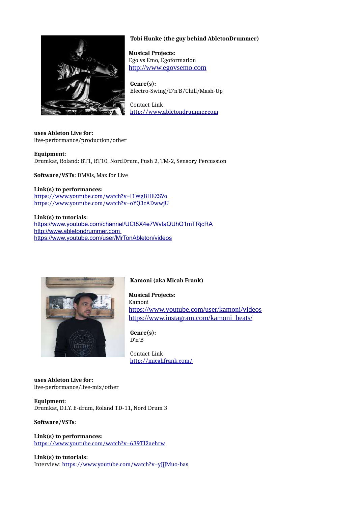

# **Tobi Hunke (the guy behind AbletonDrummer)**

 **Musical Projects:** Ego vs Emo, Egoformation [http://www.egovsemo.com](http://www.egovsemo.com/)

 **Genre(s):** Electro-Swing/D'n'B/Chill/Mash-Up

 Contact-Link [http://www.abletondrummer.com](http://www.abletondrummer.com/)

**uses Ableton Live for:** live-performance/production/other

**Equipment**: Drumkat, Roland: BT1, RT10, NordDrum, Push 2, TM-2, Sensory Percussion

**Software/VSTs**: DMXis, Max for Live

#### **Link(s) to performances:**

<https://www.youtube.com/watch?v=I1WgBHEZSVo> <https://www.youtube.com/watch?v=oYQ3cADwwjU>

#### **Link(s) to tutorials:**

<https://www.youtube.com/channel/UCt8X4e7WvfaQUhQ1mTRjcRA> [http://www.abletondrummer.com](http://www.abletondrummer.com/) <https://www.youtube.com/user/MrTonAbleton/videos>



# **Kamoni (aka Micah Frank)**

 **Musical Projects:** Kamoni <https://www.youtube.com/user/kamoni/videos> [https://www.instagram.com/kamoni\\_beats/](https://www.instagram.com/kamoni_beats/)

 **Genre(s):** D'n'B

 Contact-Link <http://micahfrank.com/>

#### **uses Ableton Live for:** live-performance/live-mix/other

**Equipment**: Drumkat, D.I.Y. E-drum, Roland TD-11, Nord Drum 3

#### **Software/VSTs**:

**Link(s) to performances:** <https://www.youtube.com/watch?v=639TI2aehrw>

**Link(s) to tutorials:**  Interview: <https://www.youtube.com/watch?v=yJjJMuo-bas>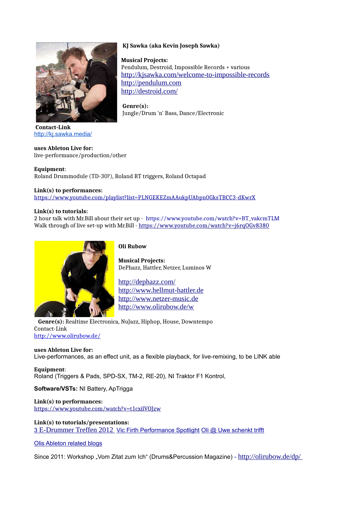

**Contact-Link** <http://kj.sawka.media/>

#### **uses Ableton Live for:**

live-performance/production/other

#### **Equipment**:

Roland Drummodule (TD-30?), Roland RT triggers, Roland Octapad

#### **Link(s) to performances:**

<https://www.youtube.com/playlist?list=PLNGEKEZmAAukpUAbpn0GksTBCC3-dKwrX>

#### **Link(s) to tutorials:**

2 hour talk with Mr.Bill about their set up - [https://www.youtube.com/watch?v=BT\\_vakcmTLM](https://www.youtube.com/watch?v=BT_vakcmTLM)  Walk through of live set-up with Mr.Bill - https://www.youtube.com/watch?v=j6rq0Gv8380



 **Oli Rubow**

 **Musical Projects:** DePhazz, Hattler, Netzer, Luminos W

 <http://dephazz.com/> [http://www.hellmut-hattler.de](http://www.hellmut-hattler.de/) [http://www.netzer-music.de](http://www.netzer-music.de/) <http://www.olirubow.de/w>

 **Genre(s):** Realtime Electronica, NuJazz, Hiphop, House, Downtempo Contact-Link <http://www.olirubow.de/>

# **uses Ableton Live for:**

Live-performances, as an effect unit, as a flexible playback, for live-remixing, to be LINK able

**Equipment**: Roland (Triggers & Pads, SPD-SX, TM-2, RE-20), NI Traktor F1 Kontrol,

**Software/VSTs:** NI Battery, ApTrigga

# **Link(s) to performances:** <https://www.youtube.com/watch?v=t1cxilVOJzw>

**Link(s) to tutorials/presentations:** [3](https://www.youtube.com/watch?v=NvBaXEeOPwE) [E-Drummer Treffen 2012](https://www.youtube.com/watch?v=NvBaXEeOPwE) [Vic Firth Performance Spotlight](https://www.youtube.com/watch?v=wk8AlTZZfZA) [Oli @ Uwe schenkt trifft](https://www.youtube.com/watch?v=0Kha0PGcnuQ)

# [Olis Ableton related blogs](https://e-beats.net/category/ableton/)

Since 2011: Workshop "Vom Zitat zum Ich" (Drums&Percussion Magazine) - http://olirubow.de/dp/

# **KJ Sawka (aka Kevin Joseph Sawka)**

 **Musical Projects:** Pendulum, Destroid, Impossible Records + various <http://kjsawka.com/welcome-to-impossible-records> [http://pendulum.com](http://pendulum.com/) <http://destroid.com/>

 **Genre(s):** Jungle/Drum 'n' Bass, Dance/Electronic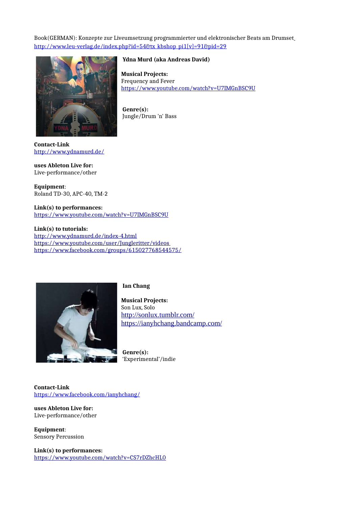# Book(GERMAN): Konzepte zur Liveumsetzung programmierter und elektronischer Beats am Drumset [http://www.leu-verlag.de/index.php?id=54&tx\\_kbshop\\_pi1\[v\]=91&pid=29](http://www.leu-verlag.de/index.php?id=54&tx_kbshop_pi1[v]=91&pid=29)



**Ydna Murd (aka Andreas David)**

 **Musical Projects:** Frequency and Fever <https://www.youtube.com/watch?v=U7IMGnBSC9U>

 **Genre(s):** Jungle/Drum 'n' Bass

**Contact-Link** <http://www.ydnamurd.de/>

**uses Ableton Live for:** Live-performance/other

**Equipment**: Roland TD-30, APC-40, TM-2

#### **Link(s) to performances:** <https://www.youtube.com/watch?v=U7IMGnBSC9U>

**Link(s) to tutorials:**  <http://www.ydnamurd.de/index-4.html> <https://www.youtube.com/user/Jungleritter/videos> <https://www.facebook.com/groups/615027768544575/>



#### **Ian Chang**

 **Musical Projects:** Son Lux, Solo <http://sonlux.tumblr.com/> <https://ianyhchang.bandcamp.com/>

 **Genre(s):** 'Experimental'/indie

**Contact-Link** <https://www.facebook.com/ianyhchang/>

**uses Ableton Live for:** Live-performance/other

**Equipment**: Sensory Percussion

**Link(s) to performances:** <https://www.youtube.com/watch?v=CS7rDZhcHL0>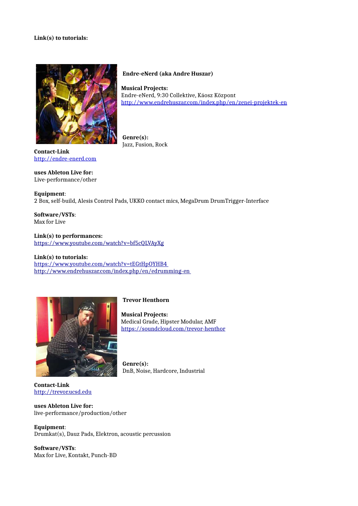#### **Link(s) to tutorials:**



**Endre-eNerd (aka Andre Huszar)**

 **Musical Projects:** Endre-eNerd, 9:30 Collektive, Káosz Központ <http://www.endrehuszar.com/index.php/en/zenei-projektek-en>

 **Genre(s):** Jazz, Fusion, Rock

**Contact-Link** [http://endre-enerd.com](http://endre-enerd.com/)

# **uses Ableton Live for:**

Live-performance/other

#### **Equipment**:

2 Box, self-build, Alesis Control Pads, UKKO contact mics, MegaDrum DrumTrigger-Interface

**Software/VSTs**: Max for Live

**Link(s) to performances:** <https://www.youtube.com/watch?v=bf5cQLVAyXg>

#### **Link(s) to tutorials:**

<https://www.youtube.com/watch?v=tEGtHpOYHB4> <http://www.endrehuszar.com/index.php/en/edrumming-en>



# **Trevor Henthorn**

 **Musical Projects:** Medical Grade, Hipster Modular, AMF <https://soundcloud.com/trevor-henthor>

 **Genre(s):** DnB, Noise, Hardcore, Industrial

# **Contact-Link** [http://trevor.ucsd.edu](http://trevor.ucsd.edu/)

**uses Ableton Live for:** live-performance/production/other

**Equipment**: Drumkat(s), Dauz Pads, Elektron, acoustic percussion

**Software/VSTs**: Max for Live, Kontakt, Punch-BD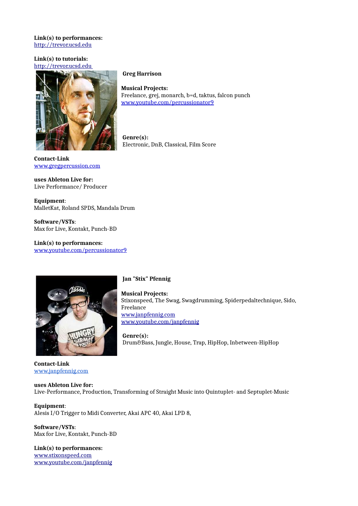#### **Link(s) to performances:** [http://trevor.ucsd.edu](http://trevor.ucsd.edu/)

## **Link(s) to tutorials:**   [http://trevor.ucsd.edu](http://trevor.ucsd.edu/)



**Greg Harrison**

 **Musical Projects:** Freelance, grej, monarch, b=d, taktus, falcon punch [www.youtube.com/percussionator9](http://www.youtube.com/percussionator9)

 **Genre(s):** Electronic, DnB, Classical, Film Score

**Contact-Link** [www.gregpercussion.com](http://www.gregpercussion.com/)

**uses Ableton Live for:** Live Performance/ Producer

**Equipment**: MalletKat, Roland SPDS, Mandala Drum

**Software/VSTs**: Max for Live, Kontakt, Punch-BD

**Link(s) to performances:** [www.youtube.com/percussionator9](http://www.youtube.com/percussionator9)



# **Jan "Stix" Pfennig**

 **Musical Projects:** Stixonspeed, The Swag, Swagdrumming, Spiderpedaltechnique, Sido, Freelance [www.janpfennig.com](http://www.janpfennig.com/) [www.youtube.com/janpfennig](http://www.youtube.com/janpfennig)

 **Genre(s):** Drum&Bass, Jungle, House, Trap, HipHop, Inbetween-HipHop

**Contact-Link** [www.janpfennig.com](http://www.janpfennig.com/)

**uses Ableton Live for:** Live-Performance, Production, Transforming of Straight Music into Quintuplet- and Septuplet-Music

**Equipment**: Alesis I/O Trigger to Midi Converter, Akai APC 40, Akai LPD 8,

**Software/VSTs**: Max for Live, Kontakt, Punch-BD

**Link(s) to performances:** [www.stixonspeed.com](http://www.stixonspeed.com/) [www.youtube.com/janpfennig](http://www.youtube.com/janpfennig)